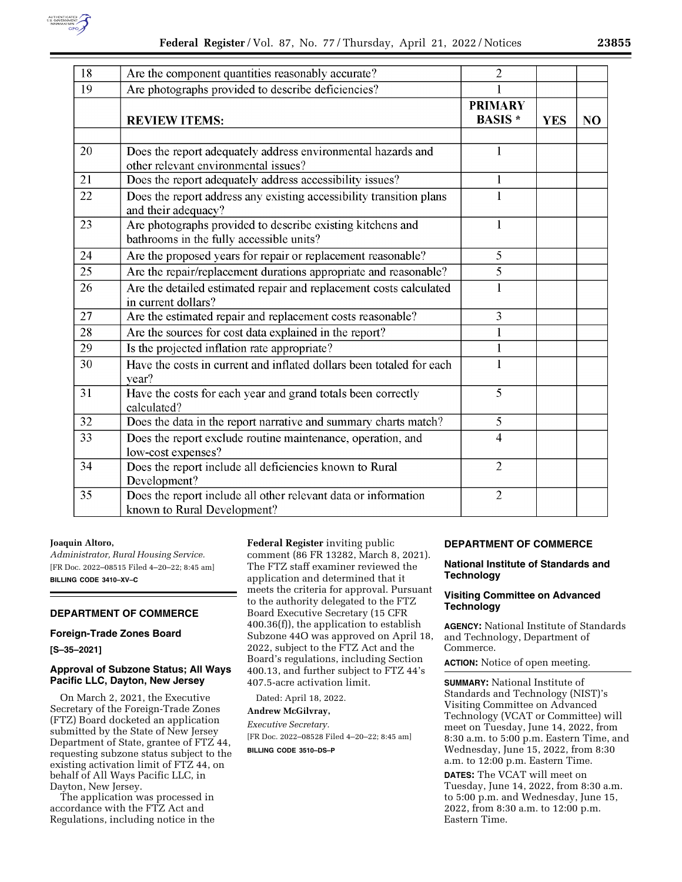

| 18 | Are the component quantities reasonably accurate?                                                      | $\overline{2}$                   |            |    |
|----|--------------------------------------------------------------------------------------------------------|----------------------------------|------------|----|
| 19 | Are photographs provided to describe deficiencies?                                                     |                                  |            |    |
|    | <b>REVIEW ITEMS:</b>                                                                                   | <b>PRIMARY</b><br><b>BASIS</b> * | <b>YES</b> | NO |
| 20 | Does the report adequately address environmental hazards and<br>other relevant environmental issues?   | 1                                |            |    |
| 21 | Does the report adequately address accessibility issues?                                               | 1                                |            |    |
| 22 | Does the report address any existing accessibility transition plans<br>and their adequacy?             | $\mathbf{1}$                     |            |    |
| 23 | Are photographs provided to describe existing kitchens and<br>bathrooms in the fully accessible units? | $\bf{l}$                         |            |    |
| 24 | Are the proposed years for repair or replacement reasonable?                                           | 5                                |            |    |
| 25 | Are the repair/replacement durations appropriate and reasonable?                                       | $\overline{5}$                   |            |    |
| 26 | Are the detailed estimated repair and replacement costs calculated<br>in current dollars?              | $\mathbf{1}$                     |            |    |
| 27 | Are the estimated repair and replacement costs reasonable?                                             | 3                                |            |    |
| 28 | Are the sources for cost data explained in the report?                                                 | $\mathbf{1}$                     |            |    |
| 29 | Is the projected inflation rate appropriate?                                                           | $\mathbf{1}$                     |            |    |
| 30 | Have the costs in current and inflated dollars been totaled for each<br>year?                          | $\mathbf{1}$                     |            |    |
| 31 | Have the costs for each year and grand totals been correctly<br>calculated?                            | $\overline{5}$                   |            |    |
| 32 | Does the data in the report narrative and summary charts match?                                        | $\overline{5}$                   |            |    |
| 33 | Does the report exclude routine maintenance, operation, and<br>low-cost expenses?                      | $\overline{\mathbf{4}}$          |            |    |
| 34 | Does the report include all deficiencies known to Rural<br>Development?                                | $\overline{2}$                   |            |    |
| 35 | Does the report include all other relevant data or information<br>known to Rural Development?          | $\overline{2}$                   |            |    |

### **Joaquin Altoro,**

*Administrator, Rural Housing Service.*  [FR Doc. 2022–08515 Filed 4–20–22; 8:45 am] **BILLING CODE 3410–XV–C** 

## **DEPARTMENT OF COMMERCE**

### **Foreign-Trade Zones Board**

**[S–35–2021]** 

#### **Approval of Subzone Status; All Ways Pacific LLC, Dayton, New Jersey**

On March 2, 2021, the Executive Secretary of the Foreign-Trade Zones (FTZ) Board docketed an application submitted by the State of New Jersey Department of State, grantee of FTZ 44, requesting subzone status subject to the existing activation limit of FTZ 44, on behalf of All Ways Pacific LLC, in Dayton, New Jersey.

The application was processed in accordance with the FTZ Act and Regulations, including notice in the **Federal Register** inviting public comment (86 FR 13282, March 8, 2021). The FTZ staff examiner reviewed the application and determined that it meets the criteria for approval. Pursuant to the authority delegated to the FTZ Board Executive Secretary (15 CFR 400.36(f)), the application to establish Subzone 44O was approved on April 18, 2022, subject to the FTZ Act and the Board's regulations, including Section 400.13, and further subject to FTZ 44's 407.5-acre activation limit.

Dated: April 18, 2022.

# **Andrew McGilvray,**

*Executive Secretary.*  [FR Doc. 2022–08528 Filed 4–20–22; 8:45 am]

**BILLING CODE 3510–DS–P** 

### **DEPARTMENT OF COMMERCE**

### **National Institute of Standards and Technology**

### **Visiting Committee on Advanced Technology**

**AGENCY:** National Institute of Standards and Technology, Department of Commerce.

**ACTION:** Notice of open meeting.

**SUMMARY:** National Institute of Standards and Technology (NIST)'s Visiting Committee on Advanced Technology (VCAT or Committee) will meet on Tuesday, June 14, 2022, from 8:30 a.m. to 5:00 p.m. Eastern Time, and Wednesday, June 15, 2022, from 8:30 a.m. to 12:00 p.m. Eastern Time.

**DATES:** The VCAT will meet on Tuesday, June 14, 2022, from 8:30 a.m. to 5:00 p.m. and Wednesday, June 15, 2022, from 8:30 a.m. to 12:00 p.m. Eastern Time.